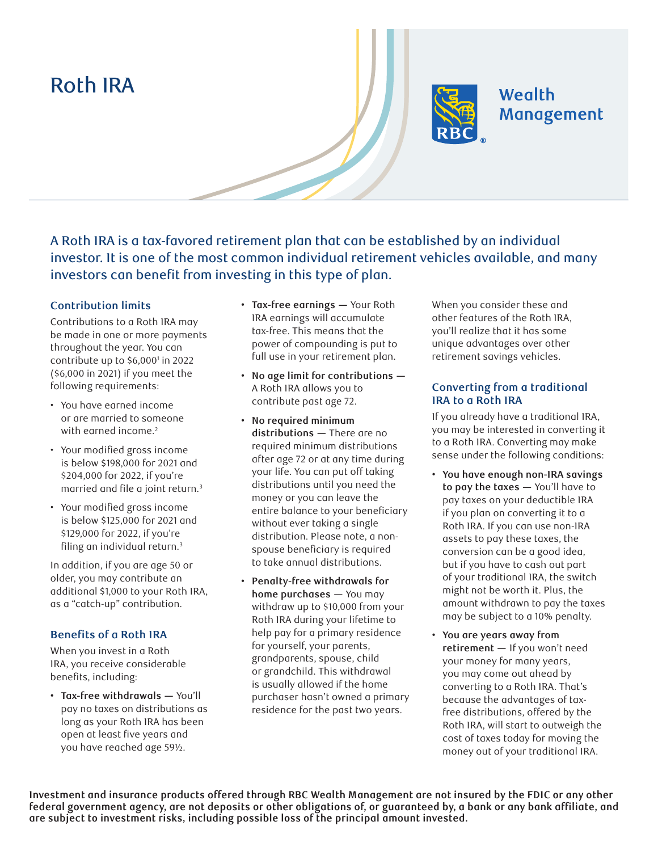# Roth IRA



# **Wealth** Management

A Roth IRA is a tax-favored retirement plan that can be established by an individual investor. It is one of the most common individual retirement vehicles available, and many investors can benefit from investing in this type of plan.

#### **Contribution limits**

Contributions to a Roth IRA may be made in one or more payments throughout the year. You can contribute up to \$6,0001 in 2022 (\$6,000 in 2021) if you meet the following requirements:

- You have earned income or are married to someone with earned income.<sup>2</sup>
- Your modified gross income is below \$198,000 for 2021 and \$204,000 for 2022, if you're married and file a joint return.<sup>3</sup>
- Your modified gross income is below \$125,000 for 2021 and \$129,000 for 2022, if you're filing an individual return.<sup>3</sup>

In addition, if you are age 50 or older, you may contribute an additional \$1,000 to your Roth IRA, as a "catch-up" contribution.

## **Benefits of a Roth IRA**

When you invest in a Roth IRA, you receive considerable benefits, including:

**• Tax-free withdrawals —** You'll pay no taxes on distributions as long as your Roth IRA has been open at least five years and you have reached age 59½.

- **Tax-free earnings —** Your Roth IRA earnings will accumulate tax-free. This means that the power of compounding is put to full use in your retirement plan.
- **No age limit for contributions —** A Roth IRA allows you to contribute past age 72.
- **No required minimum distributions —** There are no required minimum distributions after age 72 or at any time during your life. You can put off taking distributions until you need the money or you can leave the entire balance to your beneficiary without ever taking a single distribution. Please note, a nonspouse beneficiary is required to take annual distributions.
- **Penalty-free withdrawals for home purchases —** You may withdraw up to \$10,000 from your Roth IRA during your lifetime to help pay for a primary residence for yourself, your parents, grandparents, spouse, child or grandchild. This withdrawal is usually allowed if the home purchaser hasn't owned a primary residence for the past two years.

When you consider these and other features of the Roth IRA, you'll realize that it has some unique advantages over other retirement savings vehicles.

### **Converting from a traditional IRA to a Roth IRA**

If you already have a traditional IRA, you may be interested in converting it to a Roth IRA. Converting may make sense under the following conditions:

- **You have enough non-IRA savings to pay the taxes —** You'll have to pay taxes on your deductible IRA if you plan on converting it to a Roth IRA. If you can use non-IRA assets to pay these taxes, the conversion can be a good idea, but if you have to cash out part of your traditional IRA, the switch might not be worth it. Plus, the amount withdrawn to pay the taxes may be subject to a 10% penalty.
- **You are years away from retirement —** If you won't need your money for many years, you may come out ahead by converting to a Roth IRA. That's because the advantages of taxfree distributions, offered by the Roth IRA, will start to outweigh the cost of taxes today for moving the money out of your traditional IRA.

**Investment and insurance products offered through RBC Wealth Management are not insured by the FDIC or any other**  federal government agency, are not deposits or other obligations of, or guaranteed by, a bank or any bank affiliate, and **are subject to investment risks, including possible loss of the principal amount invested.**